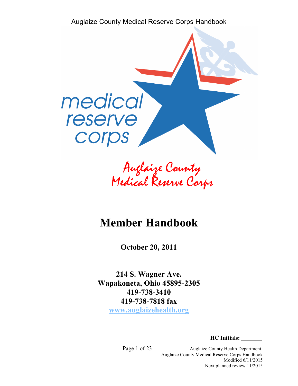

Auglaize County Medical Reserve Corps

# **Member Handbook**

**October 20, 2011**

**214 S. Wagner Ave. Wapakoneta, Ohio 45895-2305 419-738-3410 419-738-7818 fax www.auglaizehealth.org**

**HC Initials: \_\_\_\_\_\_\_** 

Page 1 of 23 Auglaize County Health Department Auglaize County Medical Reserve Corps Handbook Modified 6/11/2015 Next planned review 11/2015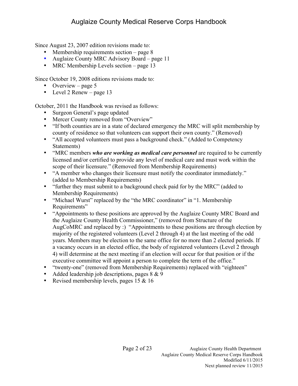Since August 23, 2007 edition revisions made to:

- Membership requirements section page 8
- Auglaize County MRC Advisory Board page 11
- MRC Membership Levels section page 13

Since October 19, 2008 editions revisions made to:

- Overview page 5
- Level 2 Renew page 13

October, 2011 the Handbook was revised as follows:

- Surgeon General's page updated
- Mercer County removed from "Overview"
- "If both counties are in a state of declared emergency the MRC will split membership by county of residence so that volunteers can support their own county." (Removed)
- "All accepted volunteers must pass a background check." (Added to Competency Statements)
- "MRC members *who are working as medical care personnel* are required to be currently licensed and/or certified to provide any level of medical care and must work within the scope of their licensure." (Removed from Membership Requirements)
- "A member who changes their licensure must notify the coordinator immediately." (added to Membership Requirements)
- "further they must submit to a background check paid for by the MRC" (added to Membership Requirements)
- "Michael Wurst" replaced by the "the MRC coordinator" in "1. Membership Requirements"
- "Appointments to these positions are approved by the Auglaize County MRC Board and the Auglaize County Health Commissioner," (removed from Structure of the AugCoMRC and replaced by :) "Appointments to these positions are through election by majority of the registered volunteers (Level 2 through 4) at the last meeting of the odd years. Members may be election to the same office for no more than 2 elected periods. If a vacancy occurs in an elected office, the body of registered volunteers (Level 2 through 4) will determine at the next meeting if an election will occur for that position or if the executive committee will appoint a person to complete the term of the office."
- "twenty-one" (removed from Membership Requirements) replaced with "eighteen"
- Added leadership job descriptions, pages  $8 \& 9$
- Revised membership levels, pages 15 & 16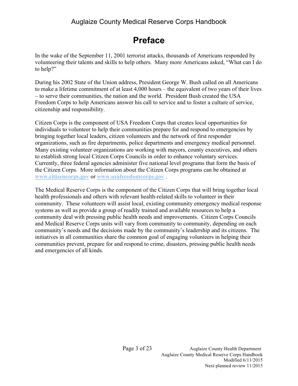# **Preface**

In the wake of the September 11, 2001 terrorist attacks, thousands of Americans responded by volunteering their talents and skills to help others. Many more Americans asked, "What can I do to help?"

During his 2002 State of the Union address, President George W. Bush called on all Americans to make a lifetime commitment of at least 4,000 hours – the equivalent of two years of their lives – to serve their communities, the nation and the world. President Bush created the USA Freedom Corps to help Americans answer his call to service and to foster a culture of service, citizenship and responsibility.

Citizen Corps is the component of USA Freedom Corps that creates local opportunities for individuals to volunteer to help their communities prepare for and respond to emergencies by bringing together local leaders, citizen volunteers and the network of first responder organizations, such as fire departments, police departments and emergency medical personnel. Many existing volunteer organizations are working with mayors, county executives, and others to establish strong local Citizen Corps Councils in order to enhance voluntary services. Currently, three federal agencies administer five national level programs that form the basis of the Citizen Corps. More information about the Citizen Corps programs can be obtained at **www.citizencorps.gov** or **www.usafreedomcorps.gov** .

The Medical Reserve Corps is the component of the Citizen Corps that will bring together local health professionals and others with relevant health-related skills to volunteer in their community. These volunteers will assist local, existing community emergency medical response systems as well as provide a group of readily trained and available resources to help a community deal with pressing public health needs and improvements. Citizen Corps Councils and Medical Reserve Corps units will vary from community to community, depending on each community's needs and the decisions made by the community's leadership and its citizens. The initiatives in all communities share the common goal of engaging volunteers in helping their communities prevent, prepare for and respond to crime, disasters, pressing public health needs and emergencies of all kinds.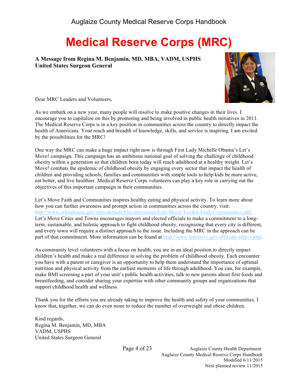# **Medical Reserve Corps (MRC)**

**A Message from Regina M. Benjamin, MD, MBA, VADM, USPHS United States Surgeon General**



Dear MRC Leaders and Volunteers,

As we embark on a new year, many people will resolve to make positive changes in their lives. I encourage you to capitalize on this by promoting and being involved in public health initiatives in 2011. The Medical Reserve Corps is in a key position in communities across the country to directly impact the health of Americans. Your reach and breadth of knowledge, skills, and service is inspiring. I am excited by the possibilities for the MRC!

One way the MRC can make a huge impact right now is through First Lady Michelle Obama's Let's Move! campaign. This campaign has an ambitious national goal of solving the challenge of childhood obesity within a generation so that children born today will reach adulthood at a healthy weight. Let's Move! combats the epidemic of childhood obesity by engaging every sector that impact the health of children and providing schools, families and communities with simple tools to help kids be more active, eat better, and live healthier. Medical Reserve Corps volunteers can play a key role in carrying out the objectives of this important campaign in their communities.

Let's Move Faith and Communities inspires healthy eating and physical activity. To learn more about how you can further awareness and prompt action in communities across the country, visit: http://www.whitehouse.gov/sites/default/files/microsites/Lets-Move-Toolkit-Faith-Communities.pdf. Let's Move Cities and Towns encourages mayors and elected officials to make a commitment to a longterm, sustainable, and holistic approach to fight childhood obesity, recognizing that every city is different, and every town will require a distinct approach to the issue. Including the MRC in the approach can be part of that commitment. More information can be found at  $\frac{http://www.letsmove.gov/officials-step-1.php.}{}$ 

As community level volunteers with a focus on health, you are in an ideal position to directly impact children's health and make a real difference in solving the problem of childhood obesity. Each encounter you have with a parent or caregiver is an opportunity to help them understand the importance of optimal nutrition and physical activity from the earliest moments of life through adulthood. You can, for example, make BMI screening a part of your unit's public health activities, talk to new parents about first foods and breastfeeding, and consider sharing your expertise with other community groups and organizations that support childhood health and wellness.

Thank you for the efforts you are already taking to improve the health and safety of your communities. I know that, together, we can do even more to reduce the number of overweight and obese children.

Kind regards, Regina M. Benjamin, MD, MBA VADM, USPHS United States Surgeon General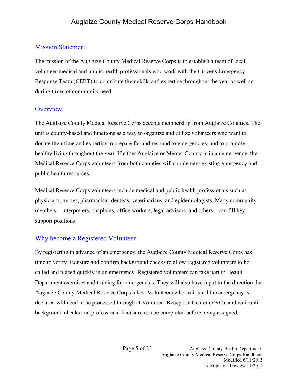#### Mission Statement

The mission of the Auglaize County Medical Reserve Corps is to establish a team of local volunteer medical and public health professionals who work with the Citizens Emergency Response Team (CERT) to contribute their skills and expertise throughout the year as well as during times of community need.

## **Overview**

The Auglaize County Medical Reserve Corps accepts membership from Auglaize Counties. The unit is county-based and functions as a way to organize and utilize volunteers who want to donate their time and expertise to prepare for and respond to emergencies, and to promote healthy living throughout the year. If either Auglaize or Mercer County is in an emergency, the Medical Reserve Corps volunteers from both counties will supplement existing emergency and public health resources.

Medical Reserve Corps volunteers include medical and public health professionals such as physicians, nurses, pharmacists, dentists, veterinarians, and epidemiologists. Many community members—interpreters, chaplains, office workers, legal advisors, and others—can fill key support positions.

## Why become a Registered Volunteer

By registering in advance of an emergency, the Auglaize County Medical Reserve Corps has time to verify licensure and confirm background checks to allow registered volunteers to be called and placed quickly in an emergency. Registered volunteers can take part in Health Department exercises and training for emergencies. They will also have input to the direction the Auglaize County Medical Reserve Corps takes. Volunteers who wait until the emergency is declared will need to be processed through at Volunteer Reception Center (VRC), and wait until background checks and professional licensure can be completed before being assigned.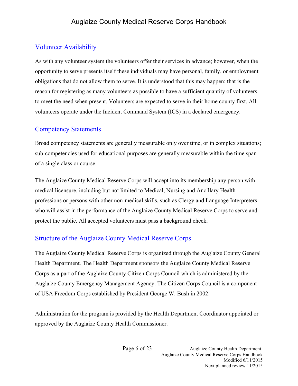## Volunteer Availability

As with any volunteer system the volunteers offer their services in advance; however, when the opportunity to serve presents itself these individuals may have personal, family, or employment obligations that do not allow them to serve. It is understood that this may happen; that is the reason for registering as many volunteers as possible to have a sufficient quantity of volunteers to meet the need when present. Volunteers are expected to serve in their home county first. All volunteers operate under the Incident Command System (ICS) in a declared emergency.

## Competency Statements

Broad competency statements are generally measurable only over time, or in complex situations; sub-competencies used for educational purposes are generally measurable within the time span of a single class or course.

The Auglaize County Medical Reserve Corps will accept into its membership any person with medical licensure, including but not limited to Medical, Nursing and Ancillary Health professions or persons with other non-medical skills, such as Clergy and Language Interpreters who will assist in the performance of the Auglaize County Medical Reserve Corps to serve and protect the public. All accepted volunteers must pass a background check.

## Structure of the Auglaize County Medical Reserve Corps

The Auglaize County Medical Reserve Corps is organized through the Auglaize County General Health Department. The Health Department sponsors the Auglaize County Medical Reserve Corps as a part of the Auglaize County Citizen Corps Council which is administered by the Auglaize County Emergency Management Agency. The Citizen Corps Council is a component of USA Freedom Corps established by President George W. Bush in 2002.

Administration for the program is provided by the Health Department Coordinator appointed or approved by the Auglaize County Health Commissioner.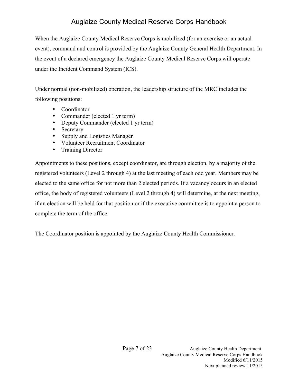When the Auglaize County Medical Reserve Corps is mobilized (for an exercise or an actual event), command and control is provided by the Auglaize County General Health Department. In the event of a declared emergency the Auglaize County Medical Reserve Corps will operate under the Incident Command System (ICS).

Under normal (non-mobilized) operation, the leadership structure of the MRC includes the following positions:

- Coordinator
- Commander (elected 1 yr term)
- Deputy Commander (elected 1 yr term)
- Secretary
- Supply and Logistics Manager
- Volunteer Recruitment Coordinator
- Training Director

Appointments to these positions, except coordinator, are through election, by a majority of the registered volunteers (Level 2 through 4) at the last meeting of each odd year. Members may be elected to the same office for not more than 2 elected periods. If a vacancy occurs in an elected office, the body of registered volunteers (Level 2 through 4) will determine, at the next meeting, if an election will be held for that position or if the executive committee is to appoint a person to complete the term of the office.

The Coordinator position is appointed by the Auglaize County Health Commissioner.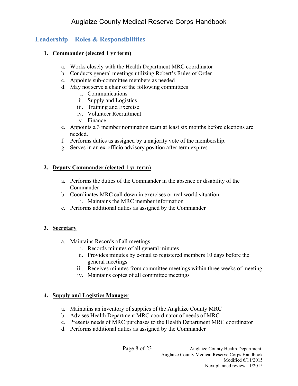## **Leadership – Roles & Responsibilities**

#### **1. Commander (elected 1 yr term)**

- a. Works closely with the Health Department MRC coordinator
- b. Conducts general meetings utilizing Robert's Rules of Order
- c. Appoints sub-committee members as needed
- d. May not serve a chair of the following committees
	- i. Communications
	- ii. Supply and Logistics
	- iii. Training and Exercise
	- iv. Volunteer Recruitment
	- v. Finance
- e. Appoints a 3 member nomination team at least six months before elections are needed.
- f. Performs duties as assigned by a majority vote of the membership.
- g. Serves in an ex-officio advisory position after term expires.

#### **2. Deputy Commander (elected 1 yr term)**

- a. Performs the duties of the Commander in the absence or disability of the Commander
- b. Coordinates MRC call down in exercises or real world situation i. Maintains the MRC member information
- c. Performs additional duties as assigned by the Commander

#### **3. Secretary**

- a. Maintains Records of all meetings
	- i. Records minutes of all general minutes
	- ii. Provides minutes by e-mail to registered members 10 days before the general meetings
	- iii. Receives minutes from committee meetings within three weeks of meeting
	- iv. Maintains copies of all committee meetings

#### **4. Supply and Logistics Manager**

- a. Maintains an inventory of supplies of the Auglaize County MRC
- b. Advises Health Department MRC coordinator of needs of MRC
- c. Presents needs of MRC purchases to the Health Department MRC coordinator
- d. Performs additional duties as assigned by the Commander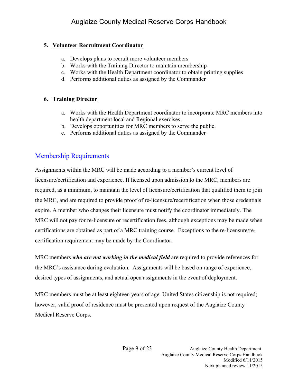#### **5. Volunteer Recruitment Coordinator**

- a. Develops plans to recruit more volunteer members
- b. Works with the Training Director to maintain membership
- c. Works with the Health Department coordinator to obtain printing supplies
- d. Performs additional duties as assigned by the Commander

#### **6. Training Director**

- a. Works with the Health Department coordinator to incorporate MRC members into health department local and Regional exercises.
- b. Develops opportunities for MRC members to serve the public.
- c. Performs additional duties as assigned by the Commander

## Membership Requirements

Assignments within the MRC will be made according to a member's current level of licensure/certification and experience. If licensed upon admission to the MRC, members are required, as a minimum, to maintain the level of licensure/certification that qualified them to join the MRC, and are required to provide proof of re-licensure/recertification when those credentials expire. A member who changes their licensure must notify the coordinator immediately. The MRC will not pay for re-licensure or recertification fees, although exceptions may be made when certifications are obtained as part of a MRC training course. Exceptions to the re-licensure/recertification requirement may be made by the Coordinator.

MRC members *who are not working in the medical field* are required to provide references for the MRC's assistance during evaluation. Assignments will be based on range of experience, desired types of assignments, and actual open assignments in the event of deployment.

MRC members must be at least eighteen years of age. United States citizenship is not required; however, valid proof of residence must be presented upon request of the Auglaize County Medical Reserve Corps.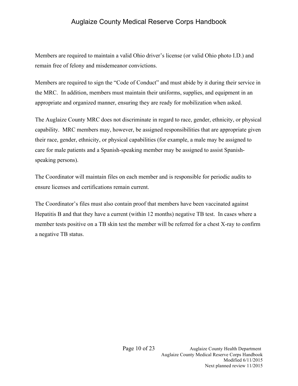Members are required to maintain a valid Ohio driver's license (or valid Ohio photo I.D.) and remain free of felony and misdemeanor convictions.

Members are required to sign the "Code of Conduct" and must abide by it during their service in the MRC. In addition, members must maintain their uniforms, supplies, and equipment in an appropriate and organized manner, ensuring they are ready for mobilization when asked.

The Auglaize County MRC does not discriminate in regard to race, gender, ethnicity, or physical capability. MRC members may, however, be assigned responsibilities that are appropriate given their race, gender, ethnicity, or physical capabilities (for example, a male may be assigned to care for male patients and a Spanish-speaking member may be assigned to assist Spanishspeaking persons).

The Coordinator will maintain files on each member and is responsible for periodic audits to ensure licenses and certifications remain current.

The Coordinator's files must also contain proof that members have been vaccinated against Hepatitis B and that they have a current (within 12 months) negative TB test. In cases where a member tests positive on a TB skin test the member will be referred for a chest X-ray to confirm a negative TB status.

> Page 10 of 23 Auglaize County Health Department Auglaize County Medical Reserve Corps Handbook Modified 6/11/2015 Next planned review 11/2015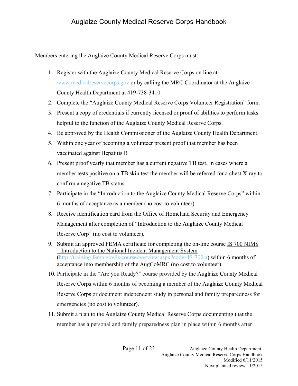Members entering the Auglaize County Medical Reserve Corps must:

- 1. Register with the Auglaize County Medical Reserve Corps on line at www.medicalreservecorps.gov or by calling the MRC Coordinator at the Auglaize County Health Department at 419-738-3410.
- 2. Complete the "Auglaize County Medical Reserve Corps Volunteer Registration" form.
- 3. Present a copy of credentials if currently licensed or proof of abilities to perform tasks helpful to the function of the Auglaize County Medical Reserve Corps.
- 4. Be approved by the Health Commissioner of the Auglaize County Health Department.
- 5. Within one year of becoming a volunteer present proof that member has been vaccinated against Hepatitis B
- 6. Present proof yearly that member has a current negative TB test. In cases where a member tests positive on a TB skin test the member will be referred for a chest X-ray to confirm a negative TB status.
- 7. Participate in the "Introduction to the Auglaize County Medical Reserve Corps" within 6 months of acceptance as a member (no cost to volunteer).
- 8. Receive identification card from the Office of Homeland Security and Emergency Management after completion of "Introduction to the Auglaize County Medical Reserve Corp" (no cost to volunteer).
- 9. Submit an approved FEMA certificate for completing the on-line course IS 700 NIMS – Introduction to the National Incident Management System (http://training.fema.gov/is/courseoverview.aspx?code=IS-700.a) within 6 months of acceptance into membership of the AugCoMRC (no cost to volunteer).
- 10. Participate in the "Are you Ready?" course provided by the Auglaize County Medical Reserve Corps within 6 months of becoming a member of the Auglaize County Medical Reserve Corps or document independent study in personal and family preparedness for emergencies (no cost to volunteer).
- 11. Submit a plan to the Auglaize County Medical Reserve Corps documenting that the member has a personal and family preparedness plan in place within 6 months after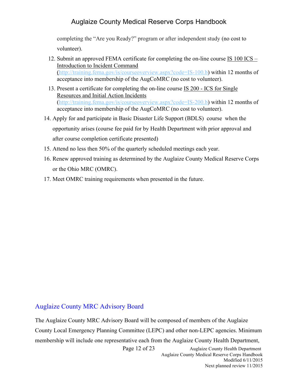completing the "Are you Ready?" program or after independent study (no cost to volunteer).

- 12. Submit an approved FEMA certificate for completing the on-line course IS 100 ICS Introduction to Incident Command (http://training.fema.gov/is/courseoverview.aspx?code=IS-100.b) within 12 months of acceptance into membership of the AugCoMRC (no cost to volunteer).
- 13. Present a certificate for completing the on-line course IS 200 ICS for Single Resources and Initial Action Incidents (http://training.fema.gov/is/courseoverview.aspx?code=IS-200.b) within 12 months of acceptance into membership of the AugCoMRC (no cost to volunteer).
- 14. Apply for and participate in Basic Disaster Life Support (BDLS) course when the opportunity arises (course fee paid for by Health Department with prior approval and after course completion certificate presented)
- 15. Attend no less then 50% of the quarterly scheduled meetings each year.
- 16. Renew approved training as determined by the Auglaize County Medical Reserve Corps or the Ohio MRC (OMRC).
- 17. Meet OMRC training requirements when presented in the future.

## Auglaize County MRC Advisory Board

The Auglaize County MRC Advisory Board will be composed of members of the Auglaize County Local Emergency Planning Committee (LEPC) and other non-LEPC agencies. Minimum membership will include one representative each from the Auglaize County Health Department,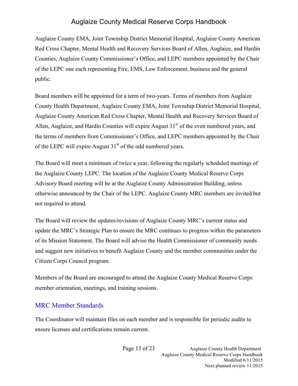Auglaize County EMA, Joint Township District Memorial Hospital, Auglaize County American Red Cross Chapter, Mental Health and Recovery Services Board of Allen, Auglaize, and Hardin Counties, Auglaize County Commissioner's Office, and LEPC members appointed by the Chair of the LEPC one each representing Fire, EMS, Law Enforcement, business and the general public.

Board members will be appointed for a term of two-years. Terms of members from Auglaize County Health Department, Auglaize County EMA, Joint Township District Memorial Hospital, Auglaize County American Red Cross Chapter, Mental Health and Recovery Services Board of Allen, Auglaize, and Hardin Counties will expire August  $31<sup>st</sup>$  of the even numbered years, and the terms of members from Commissioner's Office, and LEPC members appointed by the Chair of the LEPC will expire August  $31<sup>st</sup>$  of the odd numbered years.

The Board will meet a minimum of twice a year, following the regularly scheduled meetings of the Auglaize County LEPC. The location of the Auglaize County Medical Reserve Corps Advisory Board meeting will be at the Auglaize County Administration Building, unless otherwise announced by the Chair of the LEPC. Auglaize County MRC members are invited but not required to attend.

The Board will review the updates/revisions of Auglaize County MRC's current status and update the MRC's Strategic Plan to ensure the MRC continues to progress within the parameters of its Mission Statement. The Board will advise the Health Commissioner of community needs and suggest new initiatives to benefit Auglaize County and the member communities under the Citizen Corps Council program.

Members of the Board are encouraged to attend the Auglaize County Medical Reserve Corps member orientation, meetings, and training sessions.

#### MRC Member Standards

The Coordinator will maintain files on each member and is responsible for periodic audits to ensure licenses and certifications remain current.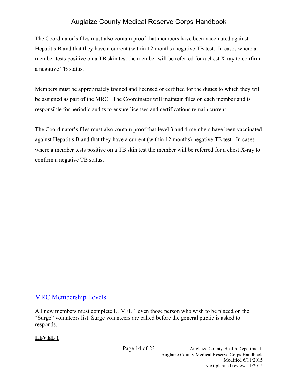The Coordinator's files must also contain proof that members have been vaccinated against Hepatitis B and that they have a current (within 12 months) negative TB test. In cases where a member tests positive on a TB skin test the member will be referred for a chest X-ray to confirm a negative TB status.

Members must be appropriately trained and licensed or certified for the duties to which they will be assigned as part of the MRC. The Coordinator will maintain files on each member and is responsible for periodic audits to ensure licenses and certifications remain current.

The Coordinator's files must also contain proof that level 3 and 4 members have been vaccinated against Hepatitis B and that they have a current (within 12 months) negative TB test. In cases where a member tests positive on a TB skin test the member will be referred for a chest X-ray to confirm a negative TB status.

## MRC Membership Levels

All new members must complete LEVEL 1 even those person who wish to be placed on the "Surge" volunteers list. Surge volunteers are called before the general public is asked to responds.

#### **LEVEL 1**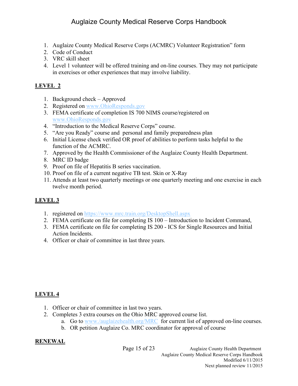- 1. Auglaize County Medical Reserve Corps (ACMRC) Volunteer Registration" form
- 2. Code of Conduct
- 3. VRC skill sheet
- 4. Level 1 volunteer will be offered training and on-line courses. They may not participate in exercises or other experiences that may involve liability.

## **LEVEL 2**

- 1. Background check Approved
- 2. Registered on www.OhioResponds.gov
- 3. FEMA certificate of completion IS 700 NIMS course/registered on www.OhioResponds.gov
- 4. "Introduction to the Medical Reserve Corps" course.
- 5. "Are you Ready" course and personal and family preparedness plan
- 6. Initial License check verified OR proof of abilities to perform tasks helpful to the function of the ACMRC.
- 7. Approved by the Health Commissioner of the Auglaize County Health Department.
- 8. MRC ID badge
- 9. Proof on file of Hepatitis B series vaccination.
- 10. Proof on file of a current negative TB test. Skin or X-Ray
- 11. Attends at least two quarterly meetings or one quarterly meeting and one exercise in each twelve month period.

## **LEVEL 3**

- 1. registered on https://www.mrc.train.org/DesktopShell.aspx
- 2. FEMA certificate on file for completing IS 100 Introduction to Incident Command,
- 3. FEMA certificate on file for completing IS 200 ICS for Single Resources and Initial Action Incidents.
- 4. Officer or chair of committee in last three years.

#### **LEVEL 4**

- 1. Officer or chair of committee in last two years.
- 2. Completes 3 extra courses on the Ohio MRC approved course list.
	- a. Go to www./auglaizehealth.org/MRC for current list of approved on-line courses.
	- b. OR petition Auglaize Co. MRC coordinator for approval of course

#### **RENEWAL**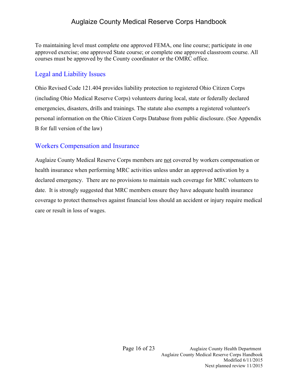To maintaining level must complete one approved FEMA, one line course; participate in one approved exercise; one approved State course; or complete one approved classroom course. All courses must be approved by the County coordinator or the OMRC office.

#### Legal and Liability Issues

Ohio Revised Code 121.404 provides liability protection to registered Ohio Citizen Corps (including Ohio Medical Reserve Corps) volunteers during local, state or federally declared emergencies, disasters, drills and trainings. The statute also exempts a registered volunteer's personal information on the Ohio Citizen Corps Database from public disclosure. (See Appendix B for full version of the law)

#### Workers Compensation and Insurance

Auglaize County Medical Reserve Corps members are not covered by workers compensation or health insurance when performing MRC activities unless under an approved activation by a declared emergency. There are no provisions to maintain such coverage for MRC volunteers to date. It is strongly suggested that MRC members ensure they have adequate health insurance coverage to protect themselves against financial loss should an accident or injury require medical care or result in loss of wages.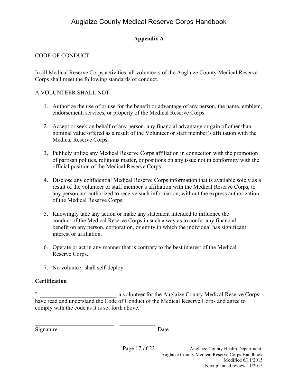#### **Appendix A**

#### CODE OF CONDUCT

In all Medical Reserve Corps activities, all volunteers of the Auglaize County Medical Reserve Corps shall meet the following standards of conduct.

#### A VOLUNTEER SHALL NOT:

- 1. Authorize the use of or use for the benefit or advantage of any person, the name, emblem, endorsement, services, or property of the Medical Reserve Corps.
- 2. Accept or seek on behalf of any person, any financial advantage or gain of other than nominal value offered as a result of the Volunteer or staff member's affiliation with the Medical Reserve Corps.
- 3. Publicly utilize any Medical Reserve Corps affiliation in connection with the promotion of partisan politics, religious matter, or positions on any issue not in conformity with the official position of the Medical Reserve Corps.
- 4. Disclose any confidential Medical Reserve Corps information that is available solely as a result of the volunteer or staff member's affiliation with the Medical Reserve Corps, to any person not authorized to receive such information, without the express authorization of the Medical Reserve Corps.
- 5. Knowingly take any action or make any statement intended to influence the conduct of the Medical Reserve Corps in such a way as to confer any financial benefit on any person, corporation, or entity in which the individual has significant interest or affiliation.
- 6. Operate or act in any manner that is contrary to the best interest of the Medical Reserve Corps.
- 7. No volunteer shall self-deploy.

 $\mathcal{L}_\text{max}$ 

#### **Certification**

I, \_\_\_\_\_\_\_\_\_\_\_\_\_\_\_\_\_\_\_\_\_\_\_\_\_\_, a volunteer for the Auglaize County Medical Reserve Corps, have read and understand the Code of Conduct of the Medical Reserve Corps and agree to comply with the code as it is set forth above.

Signature Date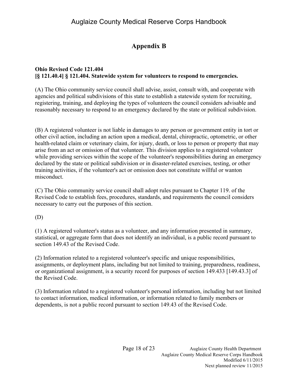## **Appendix B**

#### **Ohio Revised Code 121.404 [§ 121.40.4] § 121.404. Statewide system for volunteers to respond to emergencies.**

(A) The Ohio community service council shall advise, assist, consult with, and cooperate with agencies and political subdivisions of this state to establish a statewide system for recruiting, registering, training, and deploying the types of volunteers the council considers advisable and reasonably necessary to respond to an emergency declared by the state or political subdivision.

(B) A registered volunteer is not liable in damages to any person or government entity in tort or other civil action, including an action upon a medical, dental, chiropractic, optometric, or other health-related claim or veterinary claim, for injury, death, or loss to person or property that may arise from an act or omission of that volunteer. This division applies to a registered volunteer while providing services within the scope of the volunteer's responsibilities during an emergency declared by the state or political subdivision or in disaster-related exercises, testing, or other training activities, if the volunteer's act or omission does not constitute willful or wanton misconduct.

(C) The Ohio community service council shall adopt rules pursuant to Chapter 119. of the Revised Code to establish fees, procedures, standards, and requirements the council considers necessary to carry out the purposes of this section.

(D)

(1) A registered volunteer's status as a volunteer, and any information presented in summary, statistical, or aggregate form that does not identify an individual, is a public record pursuant to section 149.43 of the Revised Code.

(2) Information related to a registered volunteer's specific and unique responsibilities, assignments, or deployment plans, including but not limited to training, preparedness, readiness, or organizational assignment, is a security record for purposes of section 149.433 [149.43.3] of the Revised Code.

(3) Information related to a registered volunteer's personal information, including but not limited to contact information, medical information, or information related to family members or dependents, is not a public record pursuant to section 149.43 of the Revised Code.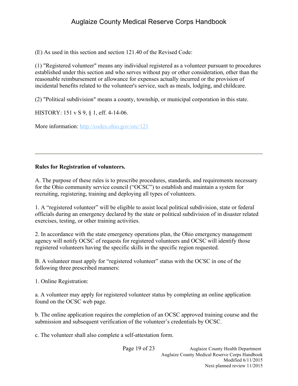(E) As used in this section and section 121.40 of the Revised Code:

(1) "Registered volunteer" means any individual registered as a volunteer pursuant to procedures established under this section and who serves without pay or other consideration, other than the reasonable reimbursement or allowance for expenses actually incurred or the provision of incidental benefits related to the volunteer's service, such as meals, lodging, and childcare.

(2) "Political subdivision" means a county, township, or municipal corporation in this state.

HISTORY: 151 v S 9, § 1, eff. 4-14-06.

More information: http://codes.ohio.gov/orc/121

#### **Rules for Registration of volunteers.**

A. The purpose of these rules is to prescribe procedures, standards, and requirements necessary for the Ohio community service council ("OCSC") to establish and maintain a system for recruiting, registering, training and deploying all types of volunteers.

1. A "registered volunteer" will be eligible to assist local political subdivision, state or federal officials during an emergency declared by the state or political subdivision of in disaster related exercises, testing, or other training activities.

2. In accordance with the state emergency operations plan, the Ohio emergency management agency will notify OCSC of requests for registered volunteers and OCSC will identify those registered volunteers having the specific skills in the specific region requested.

B. A volunteer must apply for "registered volunteer" status with the OCSC in one of the following three prescribed manners:

1. Online Registration:

a. A volunteer may apply for registered volunteer status by completing an online application found on the OCSC web page.

b. The online application requires the completion of an OCSC approved training course and the submission and subsequent verification of the volunteer's credentials by OCSC.

c. The volunteer shall also complete a self-attestation form.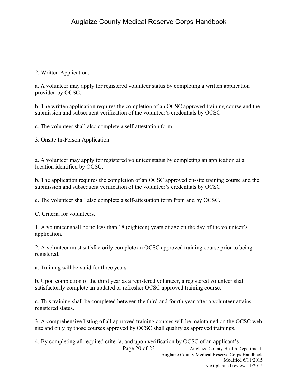2. Written Application:

a. A volunteer may apply for registered volunteer status by completing a written application provided by OCSC.

b. The written application requires the completion of an OCSC approved training course and the submission and subsequent verification of the volunteer's credentials by OCSC.

c. The volunteer shall also complete a self-attestation form.

3. Onsite In-Person Application

a. A volunteer may apply for registered volunteer status by completing an application at a location identified by OCSC.

b. The application requires the completion of an OCSC approved on-site training course and the submission and subsequent verification of the volunteer's credentials by OCSC.

c. The volunteer shall also complete a self-attestation form from and by OCSC.

C. Criteria for volunteers.

1. A volunteer shall be no less than 18 (eighteen) years of age on the day of the volunteer's application.

2. A volunteer must satisfactorily complete an OCSC approved training course prior to being registered.

a. Training will be valid for three years.

b. Upon completion of the third year as a registered volunteer, a registered volunteer shall satisfactorily complete an updated or refresher OCSC approved training course.

c. This training shall be completed between the third and fourth year after a volunteer attains registered status.

3. A comprehensive listing of all approved training courses will be maintained on the OCSC web site and only by those courses approved by OCSC shall qualify as approved trainings.

Page 20 of 23 Auglaize County Health Department Auglaize County Medical Reserve Corps Handbook Modified 6/11/2015 Next planned review 11/2015 4. By completing all required criteria, and upon verification by OCSC of an applicant's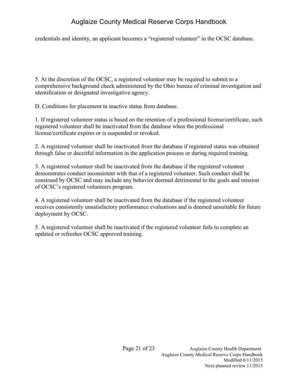credentials and identity, an applicant becomes a "registered volunteer" in the OCSC database.

5. At the discretion of the OCSC, a registered volunteer may be required to submit to a comprehensive background check administered by the Ohio bureau of criminal investigation and identification or designated investigative agency.

D. Conditions for placement in inactive status from database.

1. If registered volunteer status is based on the retention of a professional license/certificate, such registered volunteer shall be inactivated from the database when the professional license/certificate expires or is suspended or revoked.

2. A registered volunteer shall be inactivated from the database if registered status was obtained through false or deceitful information in the application process or during required training.

3. A registered volunteer shall be inactivated from the database if the registered volunteer demonstrates conduct inconsistent with that of a registered volunteer. Such conduct shall be construed by OCSC and may include any behavior deemed detrimental to the goals and mission of OCSC's registered volunteers program.

4. A registered volunteer shall be inactivated from the database if the registered volunteer receives consistently unsatisfactory performance evaluations and is deemed unsuitable for future deployment by OCSC.

5. A registered volunteer shall be inactivated if the registered volunteer fails to complete an updated or refresher OCSC approved training.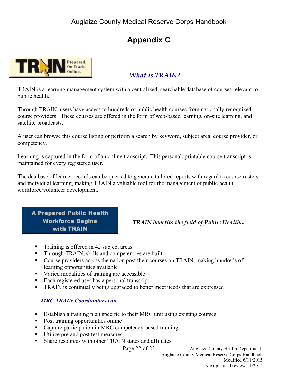## **Appendix C**



## *What is TRAIN?*

TRAIN is a learning management system with a centralized, searchable database of courses relevant to public health.

Through TRAIN, users have access to hundreds of public health courses from nationally recognized course providers. These courses are offered in the form of web-based learning, on-site learning, and satellite broadcasts.

A user can browse this course listing or perform a search by keyword, subject area, course provider, or competency.

Learning is captured in the form of an online transcript. This personal, printable course transcript is maintained for every registered user.

The database of learner records can be queried to generate tailored reports with regard to course rosters and individual learning, making TRAIN a valuable tool for the management of public health workforce/volunteer development.

A Prepared Public Health Workforce Begins with TRAIN

*TRAIN benefits the field of Public Health...*

- Training is offered in 42 subject areas
- ! Through TRAIN, skills and competencies are built
- ! Course providers across the nation post their courses on TRAIN, making hundreds of learning opportunities available
- ! Varied modalities of training are accessible
- Each registered user has a personal transcript
- ! TRAIN is continually being upgraded to better meet needs that are expressed

#### *MRC TRAIN Coordinators can …*

- ! Establish a training plan specific to their MRC unit using existing courses
- Post training opportunities online
- Capture participation in MRC competency-based training
- ! Utilize pre and post test measures
- ! Share resources with other TRAIN states and affiliates

Page 22 of 23 Auglaize County Health Department Auglaize County Medical Reserve Corps Handbook Modified 6/11/2015 Next planned review 11/2015